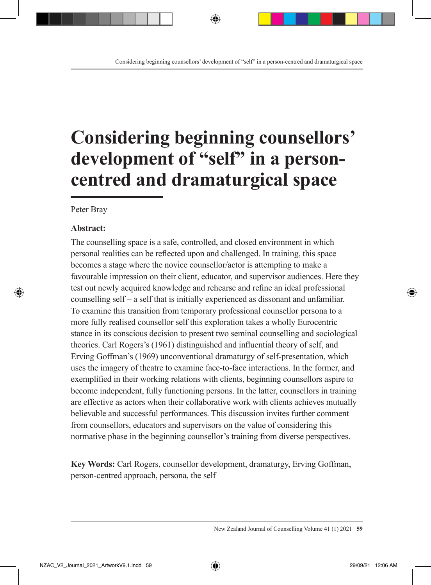# **Considering beginning counsellors' development of "self" in a personcentred and dramaturgical space**

Peter Bray

#### **Abstract:**

The counselling space is a safe, controlled, and closed environment in which personal realities can be reflected upon and challenged. In training, this space becomes a stage where the novice counsellor/actor is attempting to make a favourable impression on their client, educator, and supervisor audiences. Here they test out newly acquired knowledge and rehearse and refine an ideal professional counselling self – a self that is initially experienced as dissonant and unfamiliar. To examine this transition from temporary professional counsellor persona to a more fully realised counsellor self this exploration takes a wholly Eurocentric stance in its conscious decision to present two seminal counselling and sociological theories. Carl Rogers's (1961) distinguished and influential theory of self, and Erving Goffman's (1969) unconventional dramaturgy of self-presentation, which uses the imagery of theatre to examine face-to-face interactions. In the former, and exemplified in their working relations with clients, beginning counsellors aspire to become independent, fully functioning persons. In the latter, counsellors in training are effective as actors when their collaborative work with clients achieves mutually believable and successful performances. This discussion invites further comment from counsellors, educators and supervisors on the value of considering this normative phase in the beginning counsellor's training from diverse perspectives.

**Key Words:** Carl Rogers, counsellor development, dramaturgy, Erving Goffman, person-centred approach, persona, the self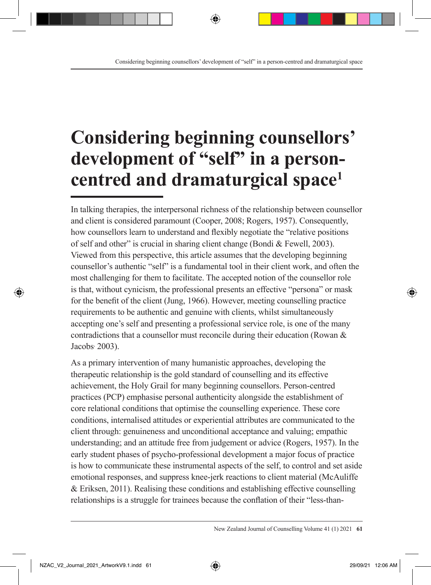# **Considering beginning counsellors' development of "self" in a personcentred and dramaturgical space1**

In talking therapies, the interpersonal richness of the relationship between counsellor and client is considered paramount (Cooper, 2008; Rogers, 1957). Consequently, how counsellors learn to understand and flexibly negotiate the "relative positions of self and other" is crucial in sharing client change (Bondi & Fewell, 2003). Viewed from this perspective, this article assumes that the developing beginning counsellor's authentic "self" is a fundamental tool in their client work, and often the most challenging for them to facilitate. The accepted notion of the counsellor role is that, without cynicism, the professional presents an effective "persona" or mask for the benefit of the client (Jung, 1966). However, meeting counselling practice requirements to be authentic and genuine with clients, whilst simultaneously accepting one's self and presenting a professional service role, is one of the many contradictions that a counsellor must reconcile during their education (Rowan & Jacobs, 2003).

As a primary intervention of many humanistic approaches, developing the therapeutic relationship is the gold standard of counselling and its effective achievement, the Holy Grail for many beginning counsellors. Person-centred practices (PCP) emphasise personal authenticity alongside the establishment of core relational conditions that optimise the counselling experience. These core conditions, internalised attitudes or experiential attributes are communicated to the client through: genuineness and unconditional acceptance and valuing; empathic understanding; and an attitude free from judgement or advice (Rogers, 1957). In the early student phases of psycho-professional development a major focus of practice is how to communicate these instrumental aspects of the self, to control and set aside emotional responses, and suppress knee-jerk reactions to client material (McAuliffe & Eriksen, 2011). Realising these conditions and establishing effective counselling relationships is a struggle for trainees because the conflation of their "less-than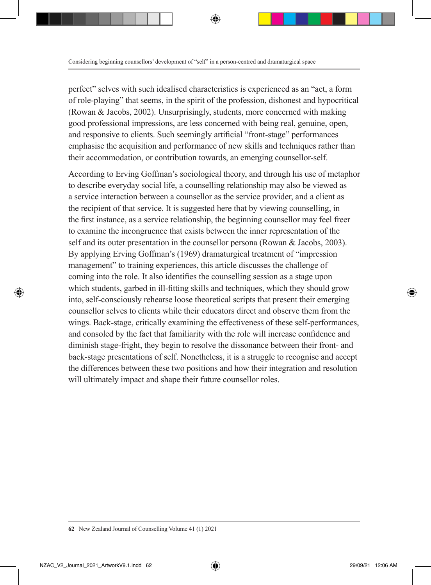perfect" selves with such idealised characteristics is experienced as an "act, a form of role-playing" that seems, in the spirit of the profession, dishonest and hypocritical (Rowan & Jacobs, 2002). Unsurprisingly, students, more concerned with making good professional impressions, are less concerned with being real, genuine, open, and responsive to clients. Such seemingly artificial "front-stage" performances emphasise the acquisition and performance of new skills and techniques rather than their accommodation, or contribution towards, an emerging counsellor-self.

According to Erving Goffman's sociological theory, and through his use of metaphor to describe everyday social life, a counselling relationship may also be viewed as a service interaction between a counsellor as the service provider, and a client as the recipient of that service. It is suggested here that by viewing counselling, in the first instance, as a service relationship, the beginning counsellor may feel freer to examine the incongruence that exists between the inner representation of the self and its outer presentation in the counsellor persona (Rowan & Jacobs, 2003). By applying Erving Goffman's (1969) dramaturgical treatment of "impression management" to training experiences, this article discusses the challenge of coming into the role. It also identifies the counselling session as a stage upon which students, garbed in ill-fitting skills and techniques, which they should grow into, self-consciously rehearse loose theoretical scripts that present their emerging counsellor selves to clients while their educators direct and observe them from the wings. Back-stage, critically examining the effectiveness of these self-performances, and consoled by the fact that familiarity with the role will increase confidence and diminish stage-fright, they begin to resolve the dissonance between their front- and back-stage presentations of self. Nonetheless, it is a struggle to recognise and accept the differences between these two positions and how their integration and resolution will ultimately impact and shape their future counsellor roles.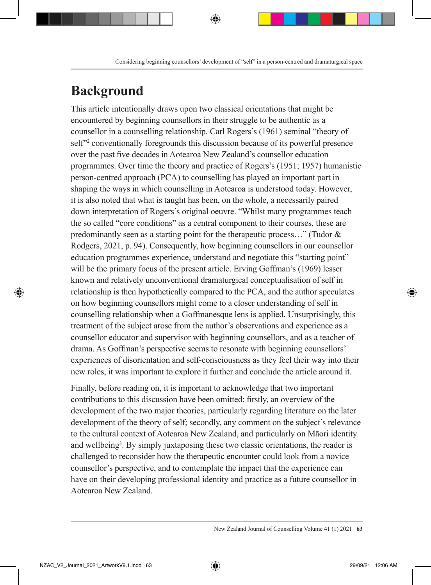# **Background**

This article intentionally draws upon two classical orientations that might be encountered by beginning counsellors in their struggle to be authentic as a counsellor in a counselling relationship. Carl Rogers's (1961) seminal "theory of self<sup>22</sup> conventionally foregrounds this discussion because of its powerful presence over the past five decades in Aotearoa New Zealand's counsellor education programmes. Over time the theory and practice of Rogers's (1951; 1957) humanistic person-centred approach (PCA) to counselling has played an important part in shaping the ways in which counselling in Aotearoa is understood today. However, it is also noted that what is taught has been, on the whole, a necessarily paired down interpretation of Rogers's original oeuvre. "Whilst many programmes teach the so called "core conditions" as a central component to their courses, these are predominantly seen as a starting point for the therapeutic process…" (Tudor & Rodgers, 2021, p. 94). Consequently, how beginning counsellors in our counsellor education programmes experience, understand and negotiate this "starting point" will be the primary focus of the present article. Erving Goffman's (1969) lesser known and relatively unconventional dramaturgical conceptualisation of self in relationship is then hypothetically compared to the PCA, and the author speculates on how beginning counsellors might come to a closer understanding of self in counselling relationship when a Goffmanesque lens is applied. Unsurprisingly, this treatment of the subject arose from the author's observations and experience as a counsellor educator and supervisor with beginning counsellors, and as a teacher of drama. As Goffman's perspective seems to resonate with beginning counsellors' experiences of disorientation and self-consciousness as they feel their way into their new roles, it was important to explore it further and conclude the article around it.

Finally, before reading on, it is important to acknowledge that two important contributions to this discussion have been omitted: firstly, an overview of the development of the two major theories, particularly regarding literature on the later development of the theory of self; secondly, any comment on the subject's relevance to the cultural context of Aotearoa New Zealand, and particularly on Māori identity and wellbeing<sup>3</sup>. By simply juxtaposing these two classic orientations, the reader is challenged to reconsider how the therapeutic encounter could look from a novice counsellor's perspective, and to contemplate the impact that the experience can have on their developing professional identity and practice as a future counsellor in Aotearoa New Zealand.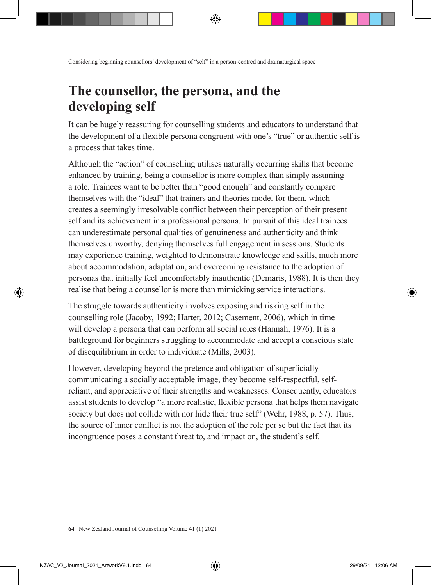### **The counsellor, the persona, and the developing self**

It can be hugely reassuring for counselling students and educators to understand that the development of a flexible persona congruent with one's "true" or authentic self is a process that takes time.

Although the "action" of counselling utilises naturally occurring skills that become enhanced by training, being a counsellor is more complex than simply assuming a role. Trainees want to be better than "good enough" and constantly compare themselves with the "ideal" that trainers and theories model for them, which creates a seemingly irresolvable conflict between their perception of their present self and its achievement in a professional persona. In pursuit of this ideal trainees can underestimate personal qualities of genuineness and authenticity and think themselves unworthy, denying themselves full engagement in sessions. Students may experience training, weighted to demonstrate knowledge and skills, much more about accommodation, adaptation, and overcoming resistance to the adoption of personas that initially feel uncomfortably inauthentic (Demaris, 1988). It is then they realise that being a counsellor is more than mimicking service interactions.

The struggle towards authenticity involves exposing and risking self in the counselling role (Jacoby, 1992; Harter, 2012; Casement, 2006), which in time will develop a persona that can perform all social roles (Hannah, 1976). It is a battleground for beginners struggling to accommodate and accept a conscious state of disequilibrium in order to individuate (Mills, 2003).

However, developing beyond the pretence and obligation of superficially communicating a socially acceptable image, they become self-respectful, selfreliant, and appreciative of their strengths and weaknesses. Consequently, educators assist students to develop "a more realistic, flexible persona that helps them navigate society but does not collide with nor hide their true self" (Wehr, 1988, p. 57). Thus, the source of inner conflict is not the adoption of the role per se but the fact that its incongruence poses a constant threat to, and impact on, the student's self.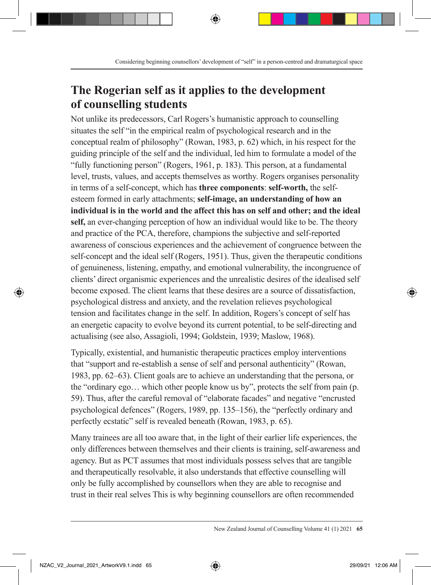### **The Rogerian self as it applies to the development of counselling students**

Not unlike its predecessors, Carl Rogers's humanistic approach to counselling situates the self "in the empirical realm of psychological research and in the conceptual realm of philosophy" (Rowan, 1983, p. 62) which, in his respect for the guiding principle of the self and the individual, led him to formulate a model of the "fully functioning person" (Rogers, 1961, p. 183). This person, at a fundamental level, trusts, values, and accepts themselves as worthy. Rogers organises personality in terms of a self-concept, which has **three components**: **self-worth,** the selfesteem formed in early attachments; **self-image, an understanding of how an individual is in the world and the affect this has on self and other; and the ideal self,** an ever-changing perception of how an individual would like to be. The theory and practice of the PCA, therefore, champions the subjective and self-reported awareness of conscious experiences and the achievement of congruence between the self-concept and the ideal self (Rogers, 1951). Thus, given the therapeutic conditions of genuineness, listening, empathy, and emotional vulnerability, the incongruence of clients' direct organismic experiences and the unrealistic desires of the idealised self become exposed. The client learns that these desires are a source of dissatisfaction, psychological distress and anxiety, and the revelation relieves psychological tension and facilitates change in the self. In addition, Rogers's concept of self has an energetic capacity to evolve beyond its current potential, to be self-directing and actualising (see also, Assagioli, 1994; Goldstein, 1939; Maslow, 1968).

Typically, existential, and humanistic therapeutic practices employ interventions that "support and re-establish a sense of self and personal authenticity" (Rowan, 1983, pp. 62–63). Client goals are to achieve an understanding that the persona, or the "ordinary ego… which other people know us by", protects the self from pain (p. 59). Thus, after the careful removal of "elaborate facades" and negative "encrusted psychological defences" (Rogers, 1989, pp. 135–156), the "perfectly ordinary and perfectly ecstatic" self is revealed beneath (Rowan, 1983, p. 65).

Many trainees are all too aware that, in the light of their earlier life experiences, the only differences between themselves and their clients is training, self-awareness and agency. But as PCT assumes that most individuals possess selves that are tangible and therapeutically resolvable, it also understands that effective counselling will only be fully accomplished by counsellors when they are able to recognise and trust in their real selves This is why beginning counsellors are often recommended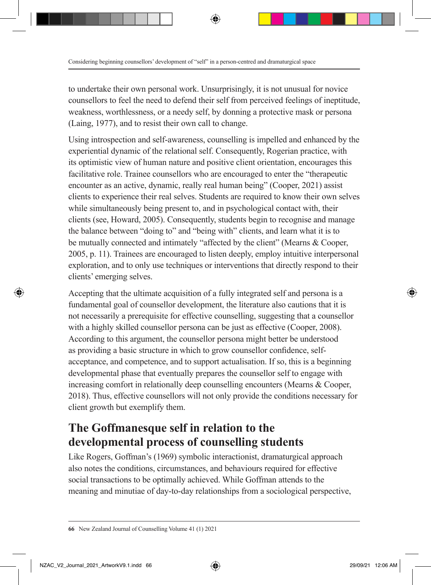to undertake their own personal work. Unsurprisingly, it is not unusual for novice counsellors to feel the need to defend their self from perceived feelings of ineptitude, weakness, worthlessness, or a needy self, by donning a protective mask or persona (Laing, 1977), and to resist their own call to change.

Using introspection and self-awareness, counselling is impelled and enhanced by the experiential dynamic of the relational self. Consequently, Rogerian practice, with its optimistic view of human nature and positive client orientation, encourages this facilitative role. Trainee counsellors who are encouraged to enter the "therapeutic encounter as an active, dynamic, really real human being" (Cooper, 2021) assist clients to experience their real selves. Students are required to know their own selves while simultaneously being present to, and in psychological contact with, their clients (see, Howard, 2005). Consequently, students begin to recognise and manage the balance between "doing to" and "being with" clients, and learn what it is to be mutually connected and intimately "affected by the client" (Mearns & Cooper, 2005, p. 11). Trainees are encouraged to listen deeply, employ intuitive interpersonal exploration, and to only use techniques or interventions that directly respond to their clients' emerging selves.

Accepting that the ultimate acquisition of a fully integrated self and persona is a fundamental goal of counsellor development, the literature also cautions that it is not necessarily a prerequisite for effective counselling, suggesting that a counsellor with a highly skilled counsellor persona can be just as effective (Cooper, 2008). According to this argument, the counsellor persona might better be understood as providing a basic structure in which to grow counsellor confidence, selfacceptance, and competence, and to support actualisation. If so, this is a beginning developmental phase that eventually prepares the counsellor self to engage with increasing comfort in relationally deep counselling encounters (Mearns & Cooper, 2018). Thus, effective counsellors will not only provide the conditions necessary for client growth but exemplify them.

### **The Goffmanesque self in relation to the developmental process of counselling students**

Like Rogers, Goffman's (1969) symbolic interactionist, dramaturgical approach also notes the conditions, circumstances, and behaviours required for effective social transactions to be optimally achieved. While Goffman attends to the meaning and minutiae of day-to-day relationships from a sociological perspective,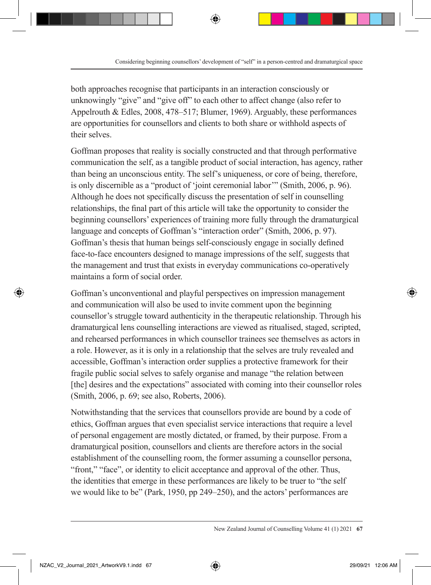both approaches recognise that participants in an interaction consciously or unknowingly "give" and "give off" to each other to affect change (also refer to Appelrouth & Edles, 2008, 478–517; Blumer, 1969). Arguably, these performances are opportunities for counsellors and clients to both share or withhold aspects of their selves.

Goffman proposes that reality is socially constructed and that through performative communication the self, as a tangible product of social interaction, has agency, rather than being an unconscious entity. The self's uniqueness, or core of being, therefore, is only discernible as a "product of 'joint ceremonial labor'" (Smith, 2006, p. 96). Although he does not specifically discuss the presentation of self in counselling relationships, the final part of this article will take the opportunity to consider the beginning counsellors' experiences of training more fully through the dramaturgical language and concepts of Goffman's "interaction order" (Smith, 2006, p. 97). Goffman's thesis that human beings self-consciously engage in socially defined face-to-face encounters designed to manage impressions of the self, suggests that the management and trust that exists in everyday communications co-operatively maintains a form of social order.

Goffman's unconventional and playful perspectives on impression management and communication will also be used to invite comment upon the beginning counsellor's struggle toward authenticity in the therapeutic relationship. Through his dramaturgical lens counselling interactions are viewed as ritualised, staged, scripted, and rehearsed performances in which counsellor trainees see themselves as actors in a role. However, as it is only in a relationship that the selves are truly revealed and accessible, Goffman's interaction order supplies a protective framework for their fragile public social selves to safely organise and manage "the relation between [the] desires and the expectations" associated with coming into their counsellor roles (Smith, 2006, p. 69; see also, Roberts, 2006).

Notwithstanding that the services that counsellors provide are bound by a code of ethics, Goffman argues that even specialist service interactions that require a level of personal engagement are mostly dictated, or framed, by their purpose. From a dramaturgical position, counsellors and clients are therefore actors in the social establishment of the counselling room, the former assuming a counsellor persona, "front," "face", or identity to elicit acceptance and approval of the other. Thus, the identities that emerge in these performances are likely to be truer to "the self we would like to be" (Park, 1950, pp 249–250), and the actors' performances are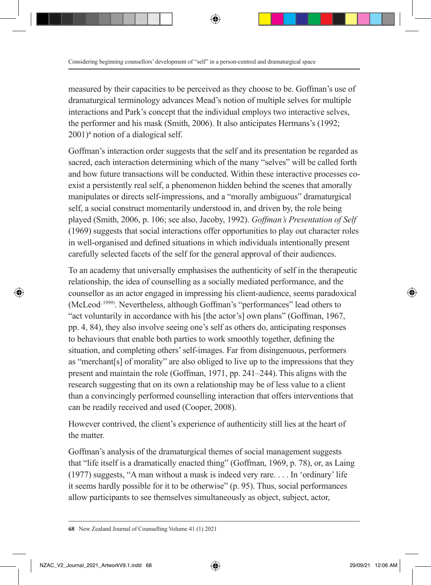measured by their capacities to be perceived as they choose to be. Goffman's use of dramaturgical terminology advances Mead's notion of multiple selves for multiple interactions and Park's concept that the individual employs two interactive selves, the performer and his mask (Smith, 2006). It also anticipates Hermans's (1992; 2001)4 notion of a dialogical self.

Goffman's interaction order suggests that the self and its presentation be regarded as sacred, each interaction determining which of the many "selves" will be called forth and how future transactions will be conducted. Within these interactive processes coexist a persistently real self, a phenomenon hidden behind the scenes that amorally manipulates or directs self-impressions, and a "morally ambiguous" dramaturgical self, a social construct momentarily understood in, and driven by, the role being played (Smith, 2006, p. 106; see also, Jacoby, 1992). *Goffman's Presentation of Self*  (1969) suggests that social interactions offer opportunities to play out character roles in well-organised and defined situations in which individuals intentionally present carefully selected facets of the self for the general approval of their audiences.

To an academy that universally emphasises the authenticity of self in the therapeutic relationship, the idea of counselling as a socially mediated performance, and the counsellor as an actor engaged in impressing his client-audience, seems paradoxical (McLeod, 1999). Nevertheless, although Goffman's "performances" lead others to "act voluntarily in accordance with his [the actor's] own plans" (Goffman, 1967, pp. 4, 84), they also involve seeing one's self as others do, anticipating responses to behaviours that enable both parties to work smoothly together, defining the situation, and completing others' self-images. Far from disingenuous, performers as "merchant[s] of morality" are also obliged to live up to the impressions that they present and maintain the role (Goffman, 1971, pp. 241–244).This aligns with the research suggesting that on its own a relationship may be of less value to a client than a convincingly performed counselling interaction that offers interventions that can be readily received and used (Cooper, 2008).

However contrived, the client's experience of authenticity still lies at the heart of the matter.

Goffman's analysis of the dramaturgical themes of social management suggests that "life itself is a dramatically enacted thing" (Goffman, 1969, p. 78), or, as Laing (1977) suggests, "A man without a mask is indeed very rare. . . . In 'ordinary' life it seems hardly possible for it to be otherwise" (p. 95). Thus, social performances allow participants to see themselves simultaneously as object, subject, actor,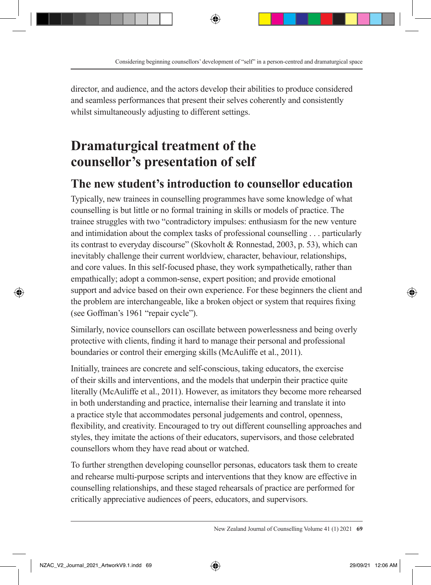director, and audience, and the actors develop their abilities to produce considered and seamless performances that present their selves coherently and consistently whilst simultaneously adjusting to different settings.

### **Dramaturgical treatment of the counsellor's presentation of self**

### **The new student's introduction to counsellor education**

Typically, new trainees in counselling programmes have some knowledge of what counselling is but little or no formal training in skills or models of practice. The trainee struggles with two "contradictory impulses: enthusiasm for the new venture and intimidation about the complex tasks of professional counselling . . . particularly its contrast to everyday discourse" (Skovholt & Ronnestad, 2003, p. 53), which can inevitably challenge their current worldview, character, behaviour, relationships, and core values. In this self-focused phase, they work sympathetically, rather than empathically; adopt a common-sense, expert position; and provide emotional support and advice based on their own experience. For these beginners the client and the problem are interchangeable, like a broken object or system that requires fixing (see Goffman's 1961 "repair cycle").

Similarly, novice counsellors can oscillate between powerlessness and being overly protective with clients, finding it hard to manage their personal and professional boundaries or control their emerging skills (McAuliffe et al., 2011).

Initially, trainees are concrete and self-conscious, taking educators, the exercise of their skills and interventions, and the models that underpin their practice quite literally (McAuliffe et al., 2011). However, as imitators they become more rehearsed in both understanding and practice, internalise their learning and translate it into a practice style that accommodates personal judgements and control, openness, flexibility, and creativity. Encouraged to try out different counselling approaches and styles, they imitate the actions of their educators, supervisors, and those celebrated counsellors whom they have read about or watched.

To further strengthen developing counsellor personas, educators task them to create and rehearse multi-purpose scripts and interventions that they know are effective in counselling relationships, and these staged rehearsals of practice are performed for critically appreciative audiences of peers, educators, and supervisors.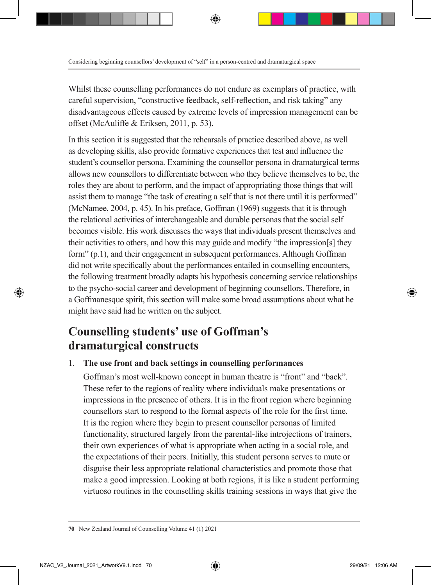Whilst these counselling performances do not endure as exemplars of practice, with careful supervision, "constructive feedback, self-reflection, and risk taking" any disadvantageous effects caused by extreme levels of impression management can be offset (McAuliffe & Eriksen, 2011, p. 53).

In this section it is suggested that the rehearsals of practice described above, as well as developing skills, also provide formative experiences that test and influence the student's counsellor persona. Examining the counsellor persona in dramaturgical terms allows new counsellors to differentiate between who they believe themselves to be, the roles they are about to perform, and the impact of appropriating those things that will assist them to manage "the task of creating a self that is not there until it is performed" (McNamee, 2004, p. 45). In his preface, Goffman (1969) suggests that it is through the relational activities of interchangeable and durable personas that the social self becomes visible. His work discusses the ways that individuals present themselves and their activities to others, and how this may guide and modify "the impression[s] they form" (p.1), and their engagement in subsequent performances. Although Goffman did not write specifically about the performances entailed in counselling encounters, the following treatment broadly adapts his hypothesis concerning service relationships to the psycho-social career and development of beginning counsellors. Therefore, in a Goffmanesque spirit, this section will make some broad assumptions about what he might have said had he written on the subject.

### **Counselling students' use of Goffman's dramaturgical constructs**

#### 1. **The use front and back settings in counselling performances**

Goffman's most well-known concept in human theatre is "front" and "back". These refer to the regions of reality where individuals make presentations or impressions in the presence of others. It is in the front region where beginning counsellors start to respond to the formal aspects of the role for the first time. It is the region where they begin to present counsellor personas of limited functionality, structured largely from the parental-like introjections of trainers, their own experiences of what is appropriate when acting in a social role, and the expectations of their peers. Initially, this student persona serves to mute or disguise their less appropriate relational characteristics and promote those that make a good impression. Looking at both regions, it is like a student performing virtuoso routines in the counselling skills training sessions in ways that give the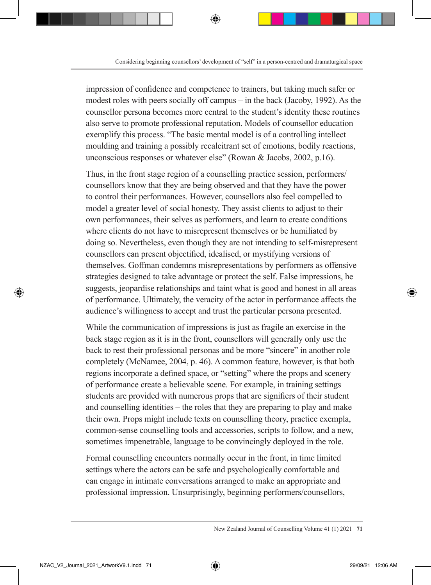impression of confidence and competence to trainers, but taking much safer or modest roles with peers socially off campus – in the back (Jacoby, 1992). As the counsellor persona becomes more central to the student's identity these routines also serve to promote professional reputation. Models of counsellor education exemplify this process. "The basic mental model is of a controlling intellect moulding and training a possibly recalcitrant set of emotions, bodily reactions, unconscious responses or whatever else" (Rowan & Jacobs, 2002, p.16).

Thus, in the front stage region of a counselling practice session, performers/ counsellors know that they are being observed and that they have the power to control their performances. However, counsellors also feel compelled to model a greater level of social honesty. They assist clients to adjust to their own performances, their selves as performers, and learn to create conditions where clients do not have to misrepresent themselves or be humiliated by doing so. Nevertheless, even though they are not intending to self-misrepresent counsellors can present objectified, idealised, or mystifying versions of themselves. Goffman condemns misrepresentations by performers as offensive strategies designed to take advantage or protect the self. False impressions, he suggests, jeopardise relationships and taint what is good and honest in all areas of performance. Ultimately, the veracity of the actor in performance affects the audience's willingness to accept and trust the particular persona presented.

While the communication of impressions is just as fragile an exercise in the back stage region as it is in the front, counsellors will generally only use the back to rest their professional personas and be more "sincere" in another role completely (McNamee, 2004, p. 46). A common feature, however, is that both regions incorporate a defined space, or "setting" where the props and scenery of performance create a believable scene. For example, in training settings students are provided with numerous props that are signifiers of their student and counselling identities – the roles that they are preparing to play and make their own. Props might include texts on counselling theory, practice exempla, common-sense counselling tools and accessories, scripts to follow, and a new, sometimes impenetrable, language to be convincingly deployed in the role.

Formal counselling encounters normally occur in the front, in time limited settings where the actors can be safe and psychologically comfortable and can engage in intimate conversations arranged to make an appropriate and professional impression. Unsurprisingly, beginning performers/counsellors,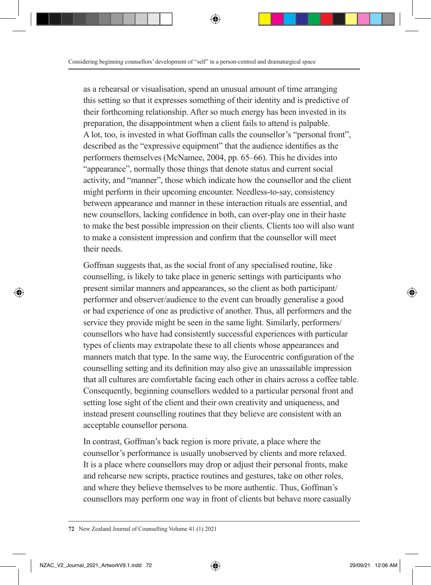as a rehearsal or visualisation, spend an unusual amount of time arranging this setting so that it expresses something of their identity and is predictive of their forthcoming relationship. After so much energy has been invested in its preparation, the disappointment when a client fails to attend is palpable. A lot, too, is invested in what Goffman calls the counsellor's "personal front", described as the "expressive equipment" that the audience identifies as the performers themselves (McNamee, 2004, pp. 65–66). This he divides into "appearance", normally those things that denote status and current social activity, and "manner", those which indicate how the counsellor and the client might perform in their upcoming encounter. Needless-to-say, consistency between appearance and manner in these interaction rituals are essential, and new counsellors, lacking confidence in both, can over-play one in their haste to make the best possible impression on their clients. Clients too will also want to make a consistent impression and confirm that the counsellor will meet their needs.

Goffman suggests that, as the social front of any specialised routine, like counselling, is likely to take place in generic settings with participants who present similar manners and appearances, so the client as both participant/ performer and observer/audience to the event can broadly generalise a good or bad experience of one as predictive of another. Thus, all performers and the service they provide might be seen in the same light. Similarly, performers/ counsellors who have had consistently successful experiences with particular types of clients may extrapolate these to all clients whose appearances and manners match that type. In the same way, the Eurocentric configuration of the counselling setting and its definition may also give an unassailable impression that all cultures are comfortable facing each other in chairs across a coffee table. Consequently, beginning counsellors wedded to a particular personal front and setting lose sight of the client and their own creativity and uniqueness, and instead present counselling routines that they believe are consistent with an acceptable counsellor persona.

In contrast, Goffman's back region is more private, a place where the counsellor's performance is usually unobserved by clients and more relaxed. It is a place where counsellors may drop or adjust their personal fronts, make and rehearse new scripts, practice routines and gestures, take on other roles, and where they believe themselves to be more authentic. Thus, Goffman's counsellors may perform one way in front of clients but behave more casually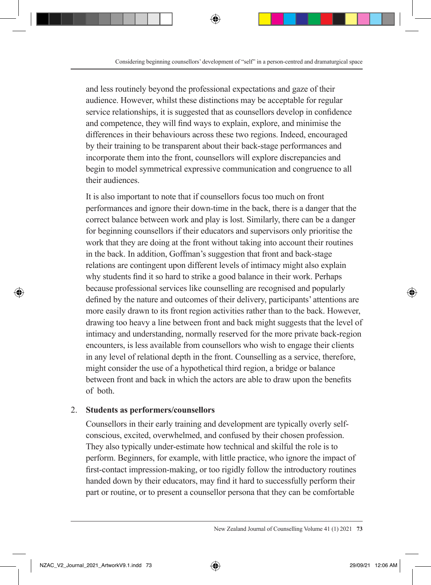and less routinely beyond the professional expectations and gaze of their audience. However, whilst these distinctions may be acceptable for regular service relationships, it is suggested that as counsellors develop in confidence and competence, they will find ways to explain, explore, and minimise the differences in their behaviours across these two regions. Indeed, encouraged by their training to be transparent about their back-stage performances and incorporate them into the front, counsellors will explore discrepancies and begin to model symmetrical expressive communication and congruence to all their audiences.

It is also important to note that if counsellors focus too much on front performances and ignore their down-time in the back, there is a danger that the correct balance between work and play is lost. Similarly, there can be a danger for beginning counsellors if their educators and supervisors only prioritise the work that they are doing at the front without taking into account their routines in the back. In addition, Goffman's suggestion that front and back-stage relations are contingent upon different levels of intimacy might also explain why students find it so hard to strike a good balance in their work. Perhaps because professional services like counselling are recognised and popularly defined by the nature and outcomes of their delivery, participants' attentions are more easily drawn to its front region activities rather than to the back. However, drawing too heavy a line between front and back might suggests that the level of intimacy and understanding, normally reserved for the more private back-region encounters, is less available from counsellors who wish to engage their clients in any level of relational depth in the front. Counselling as a service, therefore, might consider the use of a hypothetical third region, a bridge or balance between front and back in which the actors are able to draw upon the benefits of both.

#### 2. **Students as performers/counsellors**

Counsellors in their early training and development are typically overly selfconscious, excited, overwhelmed, and confused by their chosen profession. They also typically under-estimate how technical and skilful the role is to perform. Beginners, for example, with little practice, who ignore the impact of first-contact impression-making, or too rigidly follow the introductory routines handed down by their educators, may find it hard to successfully perform their part or routine, or to present a counsellor persona that they can be comfortable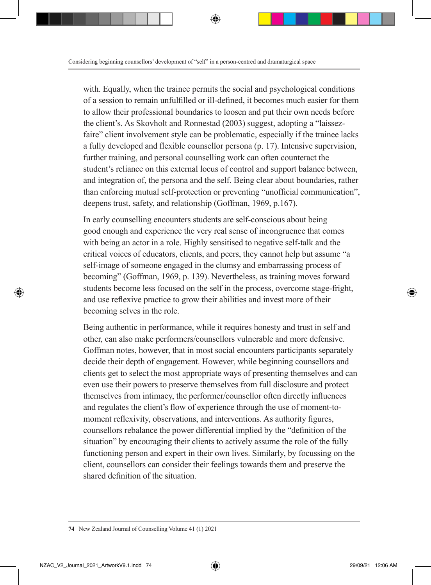with. Equally, when the trainee permits the social and psychological conditions of a session to remain unfulfilled or ill-defined, it becomes much easier for them to allow their professional boundaries to loosen and put their own needs before the client's. As Skovholt and Ronnestad (2003) suggest, adopting a "laissezfaire" client involvement style can be problematic, especially if the trainee lacks a fully developed and flexible counsellor persona (p. 17). Intensive supervision, further training, and personal counselling work can often counteract the student's reliance on this external locus of control and support balance between, and integration of, the persona and the self. Being clear about boundaries, rather than enforcing mutual self-protection or preventing "unofficial communication", deepens trust, safety, and relationship (Goffman, 1969, p.167).

In early counselling encounters students are self-conscious about being good enough and experience the very real sense of incongruence that comes with being an actor in a role. Highly sensitised to negative self-talk and the critical voices of educators, clients, and peers, they cannot help but assume "a self-image of someone engaged in the clumsy and embarrassing process of becoming" (Goffman, 1969, p. 139). Nevertheless, as training moves forward students become less focused on the self in the process, overcome stage-fright, and use reflexive practice to grow their abilities and invest more of their becoming selves in the role.

Being authentic in performance, while it requires honesty and trust in self and other, can also make performers/counsellors vulnerable and more defensive. Goffman notes, however, that in most social encounters participants separately decide their depth of engagement. However, while beginning counsellors and clients get to select the most appropriate ways of presenting themselves and can even use their powers to preserve themselves from full disclosure and protect themselves from intimacy, the performer/counsellor often directly influences and regulates the client's flow of experience through the use of moment-tomoment reflexivity, observations, and interventions. As authority figures, counsellors rebalance the power differential implied by the "definition of the situation" by encouraging their clients to actively assume the role of the fully functioning person and expert in their own lives. Similarly, by focussing on the client, counsellors can consider their feelings towards them and preserve the shared definition of the situation.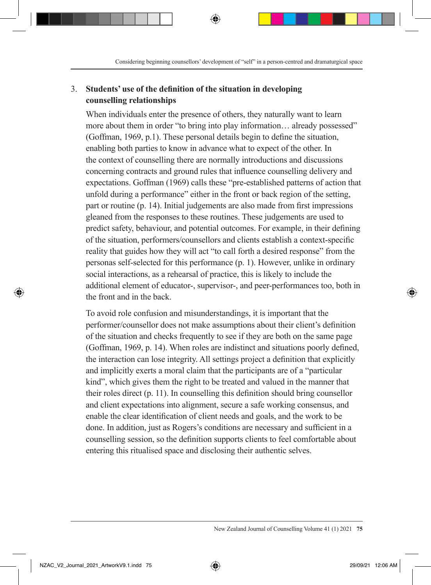#### 3. **Students' use of the definition of the situation in developing counselling relationships**

When individuals enter the presence of others, they naturally want to learn more about them in order "to bring into play information... already possessed" (Goffman, 1969, p.1). These personal details begin to define the situation, enabling both parties to know in advance what to expect of the other. In the context of counselling there are normally introductions and discussions concerning contracts and ground rules that influence counselling delivery and expectations. Goffman (1969) calls these "pre-established patterns of action that unfold during a performance" either in the front or back region of the setting, part or routine (p. 14). Initial judgements are also made from first impressions gleaned from the responses to these routines. These judgements are used to predict safety, behaviour, and potential outcomes. For example, in their defining of the situation, performers/counsellors and clients establish a context-specific reality that guides how they will act "to call forth a desired response" from the personas self-selected for this performance (p. 1). However, unlike in ordinary social interactions, as a rehearsal of practice, this is likely to include the additional element of educator-, supervisor-, and peer-performances too, both in the front and in the back.

To avoid role confusion and misunderstandings, it is important that the performer/counsellor does not make assumptions about their client's definition of the situation and checks frequently to see if they are both on the same page (Goffman, 1969, p. 14). When roles are indistinct and situations poorly defined, the interaction can lose integrity. All settings project a definition that explicitly and implicitly exerts a moral claim that the participants are of a "particular kind", which gives them the right to be treated and valued in the manner that their roles direct (p. 11). In counselling this definition should bring counsellor and client expectations into alignment, secure a safe working consensus, and enable the clear identification of client needs and goals, and the work to be done. In addition, just as Rogers's conditions are necessary and sufficient in a counselling session, so the definition supports clients to feel comfortable about entering this ritualised space and disclosing their authentic selves.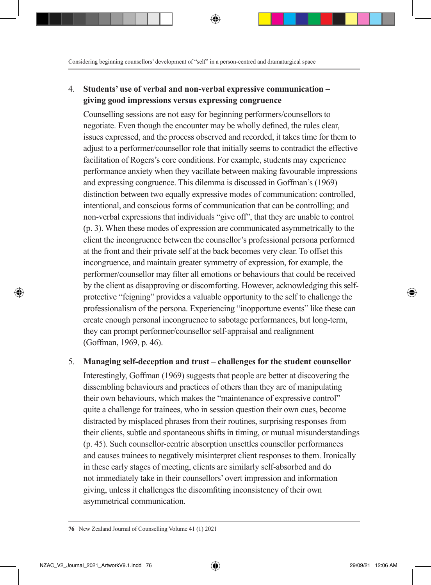#### 4. **Students' use of verbal and non-verbal expressive communication – giving good impressions versus expressing congruence**

Counselling sessions are not easy for beginning performers/counsellors to negotiate. Even though the encounter may be wholly defined, the rules clear, issues expressed, and the process observed and recorded, it takes time for them to adjust to a performer/counsellor role that initially seems to contradict the effective facilitation of Rogers's core conditions. For example, students may experience performance anxiety when they vacillate between making favourable impressions and expressing congruence. This dilemma is discussed in Goffman's (1969) distinction between two equally expressive modes of communication: controlled, intentional, and conscious forms of communication that can be controlling; and non-verbal expressions that individuals "give off", that they are unable to control (p. 3). When these modes of expression are communicated asymmetrically to the client the incongruence between the counsellor's professional persona performed at the front and their private self at the back becomes very clear. To offset this incongruence, and maintain greater symmetry of expression, for example, the performer/counsellor may filter all emotions or behaviours that could be received by the client as disapproving or discomforting. However, acknowledging this selfprotective "feigning" provides a valuable opportunity to the self to challenge the professionalism of the persona. Experiencing "inopportune events" like these can create enough personal incongruence to sabotage performances, but long-term, they can prompt performer/counsellor self-appraisal and realignment (Goffman, 1969, p. 46).

#### 5. **Managing self-deception and trust – challenges for the student counsellor**

Interestingly, Goffman (1969) suggests that people are better at discovering the dissembling behaviours and practices of others than they are of manipulating their own behaviours, which makes the "maintenance of expressive control" quite a challenge for trainees, who in session question their own cues, become distracted by misplaced phrases from their routines, surprising responses from their clients, subtle and spontaneous shifts in timing, or mutual misunderstandings (p. 45). Such counsellor-centric absorption unsettles counsellor performances and causes trainees to negatively misinterpret client responses to them. Ironically in these early stages of meeting, clients are similarly self-absorbed and do not immediately take in their counsellors' overt impression and information giving, unless it challenges the discomfiting inconsistency of their own asymmetrical communication.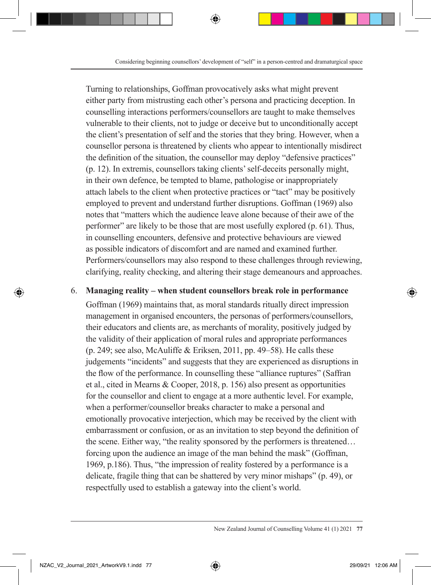Turning to relationships, Goffman provocatively asks what might prevent either party from mistrusting each other's persona and practicing deception. In counselling interactions performers/counsellors are taught to make themselves vulnerable to their clients, not to judge or deceive but to unconditionally accept the client's presentation of self and the stories that they bring. However, when a counsellor persona is threatened by clients who appear to intentionally misdirect the definition of the situation, the counsellor may deploy "defensive practices" (p. 12). In extremis, counsellors taking clients' self-deceits personally might, in their own defence, be tempted to blame, pathologise or inappropriately attach labels to the client when protective practices or "tact" may be positively employed to prevent and understand further disruptions. Goffman (1969) also notes that "matters which the audience leave alone because of their awe of the performer" are likely to be those that are most usefully explored (p. 61). Thus, in counselling encounters, defensive and protective behaviours are viewed as possible indicators of discomfort and are named and examined further. Performers/counsellors may also respond to these challenges through reviewing, clarifying, reality checking, and altering their stage demeanours and approaches.

#### 6. **Managing reality – when student counsellors break role in performance**

Goffman (1969) maintains that, as moral standards ritually direct impression management in organised encounters, the personas of performers/counsellors, their educators and clients are, as merchants of morality, positively judged by the validity of their application of moral rules and appropriate performances (p. 249; see also, McAuliffe & Eriksen, 2011, pp. 49–58). He calls these judgements "incidents" and suggests that they are experienced as disruptions in the flow of the performance. In counselling these "alliance ruptures" (Saffran et al., cited in Mearns & Cooper, 2018, p. 156) also present as opportunities for the counsellor and client to engage at a more authentic level. For example, when a performer/counsellor breaks character to make a personal and emotionally provocative interjection, which may be received by the client with embarrassment or confusion, or as an invitation to step beyond the definition of the scene. Either way, "the reality sponsored by the performers is threatened… forcing upon the audience an image of the man behind the mask" (Goffman, 1969, p.186). Thus, "the impression of reality fostered by a performance is a delicate, fragile thing that can be shattered by very minor mishaps" (p. 49), or respectfully used to establish a gateway into the client's world.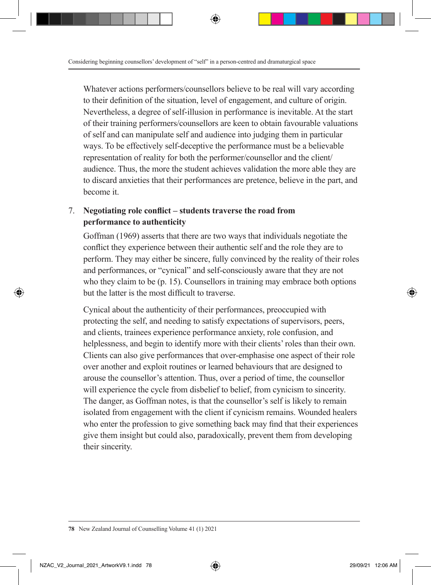Whatever actions performers/counsellors believe to be real will vary according to their definition of the situation, level of engagement, and culture of origin. Nevertheless, a degree of self-illusion in performance is inevitable. At the start of their training performers/counsellors are keen to obtain favourable valuations of self and can manipulate self and audience into judging them in particular ways. To be effectively self-deceptive the performance must be a believable representation of reality for both the performer/counsellor and the client/ audience. Thus, the more the student achieves validation the more able they are to discard anxieties that their performances are pretence, believe in the part, and become it.

#### 7. **Negotiating role conflict – students traverse the road from performance to authenticity**

Goffman (1969) asserts that there are two ways that individuals negotiate the conflict they experience between their authentic self and the role they are to perform. They may either be sincere, fully convinced by the reality of their roles and performances, or "cynical" and self-consciously aware that they are not who they claim to be (p. 15). Counsellors in training may embrace both options but the latter is the most difficult to traverse.

Cynical about the authenticity of their performances, preoccupied with protecting the self, and needing to satisfy expectations of supervisors, peers, and clients, trainees experience performance anxiety, role confusion, and helplessness, and begin to identify more with their clients' roles than their own. Clients can also give performances that over-emphasise one aspect of their role over another and exploit routines or learned behaviours that are designed to arouse the counsellor's attention. Thus, over a period of time, the counsellor will experience the cycle from disbelief to belief, from cynicism to sincerity. The danger, as Goffman notes, is that the counsellor's self is likely to remain isolated from engagement with the client if cynicism remains. Wounded healers who enter the profession to give something back may find that their experiences give them insight but could also, paradoxically, prevent them from developing their sincerity.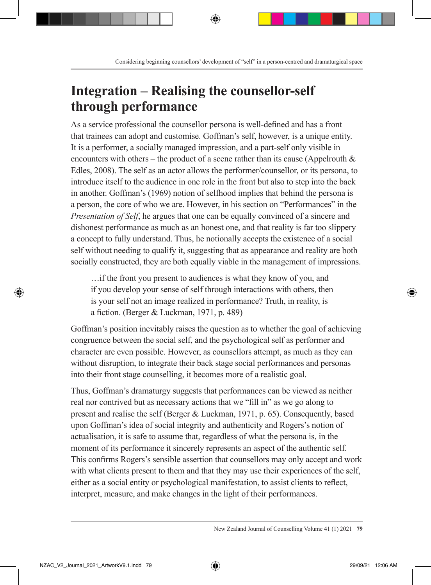## **Integration – Realising the counsellor-self through performance**

As a service professional the counsellor persona is well-defined and has a front that trainees can adopt and customise. Goffman's self, however, is a unique entity. It is a performer, a socially managed impression, and a part-self only visible in encounters with others – the product of a scene rather than its cause (Appelrouth  $\&$ Edles, 2008). The self as an actor allows the performer/counsellor, or its persona, to introduce itself to the audience in one role in the front but also to step into the back in another. Goffman's (1969) notion of selfhood implies that behind the persona is a person, the core of who we are. However, in his section on "Performances" in the *Presentation of Self*, he argues that one can be equally convinced of a sincere and dishonest performance as much as an honest one, and that reality is far too slippery a concept to fully understand. Thus, he notionally accepts the existence of a social self without needing to qualify it, suggesting that as appearance and reality are both socially constructed, they are both equally viable in the management of impressions.

…if the front you present to audiences is what they know of you, and if you develop your sense of self through interactions with others, then is your self not an image realized in performance? Truth, in reality, is a fiction. (Berger & Luckman, 1971, p. 489)

Goffman's position inevitably raises the question as to whether the goal of achieving congruence between the social self, and the psychological self as performer and character are even possible. However, as counsellors attempt, as much as they can without disruption, to integrate their back stage social performances and personas into their front stage counselling, it becomes more of a realistic goal.

Thus, Goffman's dramaturgy suggests that performances can be viewed as neither real nor contrived but as necessary actions that we "fill in" as we go along to present and realise the self (Berger & Luckman, 1971, p. 65). Consequently, based upon Goffman's idea of social integrity and authenticity and Rogers's notion of actualisation, it is safe to assume that, regardless of what the persona is, in the moment of its performance it sincerely represents an aspect of the authentic self. This confirms Rogers's sensible assertion that counsellors may only accept and work with what clients present to them and that they may use their experiences of the self, either as a social entity or psychological manifestation, to assist clients to reflect, interpret, measure, and make changes in the light of their performances.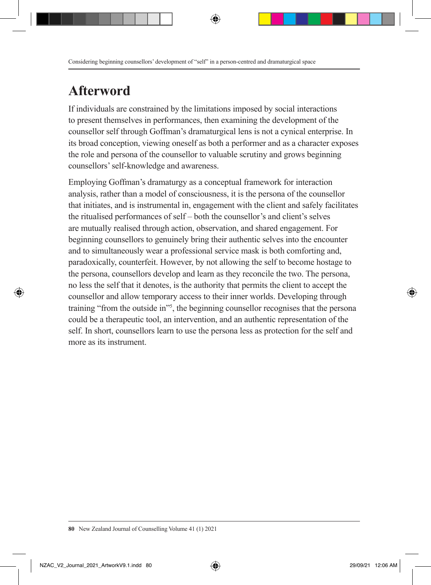# **Afterword**

If individuals are constrained by the limitations imposed by social interactions to present themselves in performances, then examining the development of the counsellor self through Goffman's dramaturgical lens is not a cynical enterprise. In its broad conception, viewing oneself as both a performer and as a character exposes the role and persona of the counsellor to valuable scrutiny and grows beginning counsellors' self-knowledge and awareness.

Employing Goffman's dramaturgy as a conceptual framework for interaction analysis, rather than a model of consciousness, it is the persona of the counsellor that initiates, and is instrumental in, engagement with the client and safely facilitates the ritualised performances of self – both the counsellor's and client's selves are mutually realised through action, observation, and shared engagement. For beginning counsellors to genuinely bring their authentic selves into the encounter and to simultaneously wear a professional service mask is both comforting and, paradoxically, counterfeit. However, by not allowing the self to become hostage to the persona, counsellors develop and learn as they reconcile the two. The persona, no less the self that it denotes, is the authority that permits the client to accept the counsellor and allow temporary access to their inner worlds. Developing through training "from the outside in"<sup>55</sup>, the beginning counsellor recognises that the persona could be a therapeutic tool, an intervention, and an authentic representation of the self. In short, counsellors learn to use the persona less as protection for the self and more as its instrument.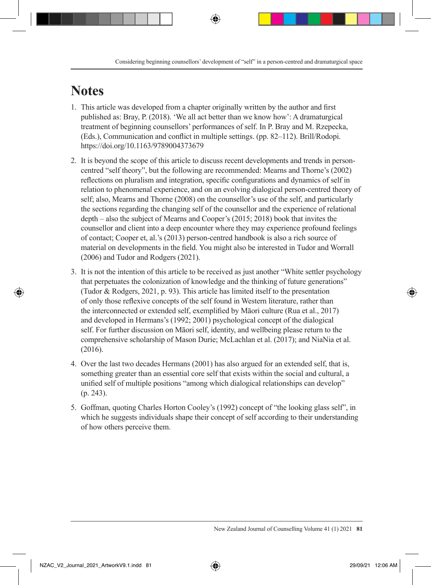# **Notes**

- 1. This article was developed from a chapter originally written by the author and first published as: Bray, P. (2018). 'We all act better than we know how': A dramaturgical treatment of beginning counsellors' performances of self. In P. Bray and M. Rzepecka, (Eds.), Communication and conflict in multiple settings. (pp. 82–112). Brill/Rodopi. https://doi.org/10.1163/9789004373679
- 2. It is beyond the scope of this article to discuss recent developments and trends in personcentred "self theory", but the following are recommended: Mearns and Thorne's (2002) reflections on pluralism and integration, specific configurations and dynamics of self in relation to phenomenal experience, and on an evolving dialogical person-centred theory of self; also, Mearns and Thorne (2008) on the counsellor's use of the self, and particularly the sections regarding the changing self of the counsellor and the experience of relational depth – also the subject of Mearns and Cooper's (2015; 2018) book that invites the counsellor and client into a deep encounter where they may experience profound feelings of contact; Cooper et, al.'s (2013) person-centred handbook is also a rich source of material on developments in the field. You might also be interested in Tudor and Worrall (2006) and Tudor and Rodgers (2021).
- 3. It is not the intention of this article to be received as just another "White settler psychology that perpetuates the colonization of knowledge and the thinking of future generations" (Tudor & Rodgers, 2021, p. 93). This article has limited itself to the presentation of only those reflexive concepts of the self found in Western literature, rather than the interconnected or extended self, exemplified by Māori culture (Rua et al., 2017) and developed in Hermans's (1992; 2001) psychological concept of the dialogical self. For further discussion on Māori self, identity, and wellbeing please return to the comprehensive scholarship of Mason Durie; McLachlan et al. (2017); and NiaNia et al. (2016).
- 4. Over the last two decades Hermans (2001) has also argued for an extended self, that is, something greater than an essential core self that exists within the social and cultural, a unified self of multiple positions "among which dialogical relationships can develop" (p. 243).
- 5. Goffman, quoting Charles Horton Cooley's (1992) concept of "the looking glass self", in which he suggests individuals shape their concept of self according to their understanding of how others perceive them.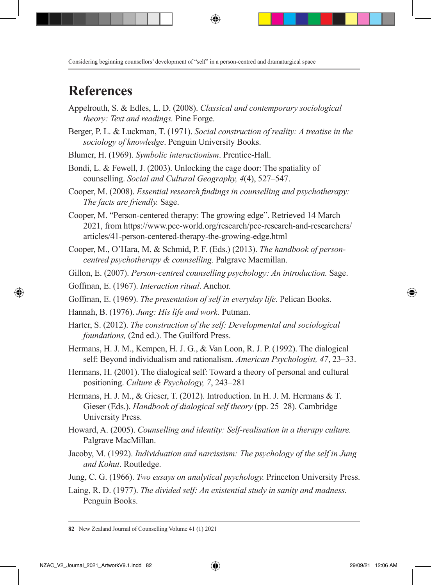### **References**

- Appelrouth, S. & Edles, L. D. (2008). *Classical and contemporary sociological theory: Text and readings.* Pine Forge.
- Berger, P. L. & Luckman, T. (1971). *Social construction of reality: A treatise in the sociology of knowledge*. Penguin University Books.
- Blumer, H. (1969). *Symbolic interactionism*. Prentice-Hall.
- Bondi, L. & Fewell, J. (2003). Unlocking the cage door: The spatiality of counselling. *Social and Cultural Geography, 4*(4), 527–547.
- Cooper, M. (2008). *Essential research findings in counselling and psychotherapy: The facts are friendly.* Sage.
- Cooper, M. "Person-centered therapy: The growing edge". Retrieved 14 March 2021, from https://www.pce-world.org/research/pce-research-and-researchers/ articles/41-person-centered-therapy-the-growing-edge.html
- Cooper, M., O'Hara, M, & Schmid, P. F. (Eds.) (2013). *The handbook of personcentred psychotherapy & counselling.* Palgrave Macmillan.
- Gillon, E. (2007). *Person-centred counselling psychology: An introduction.* Sage.
- Goffman, E. (1967). *Interaction ritual*. Anchor.
- Goffman, E. (1969). *The presentation of self in everyday life*. Pelican Books.
- Hannah, B. (1976). *Jung: His life and work.* Putman.
- Harter, S. (2012). *The construction of the self: Developmental and sociological foundations,* (2nd ed.). The Guilford Press.
- Hermans, H. J. M., Kempen, H. J. G., & Van Loon, R. J. P. (1992). The dialogical self: Beyond individualism and rationalism. *American Psychologist, 47*, 23–33.
- Hermans, H. (2001). The dialogical self: Toward a theory of personal and cultural positioning. *Culture & Psychology, 7*, 243–281
- Hermans, H. J. M., & Gieser, T. (2012). Introduction. In H. J. M. Hermans & T. Gieser (Eds.). *Handbook of dialogical self theory* (pp. 25–28). Cambridge University Press.
- Howard, A. (2005). *Counselling and identity: Self-realisation in a therapy culture.*  Palgrave MacMillan.
- Jacoby, M. (1992). *Individuation and narcissism: The psychology of the self in Jung and Kohut*. Routledge.
- Jung, C. G. (1966). *Two essays on analytical psychology.* Princeton University Press.
- Laing, R. D. (1977). *The divided self: An existential study in sanity and madness.* Penguin Books.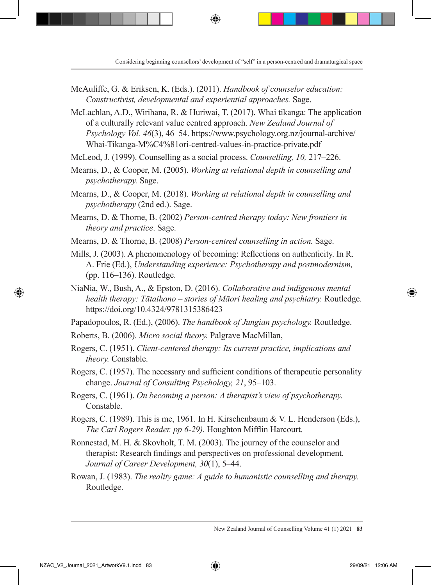- McAuliffe, G. & Eriksen, K. (Eds.). (2011). *Handbook of counselor education: Constructivist, developmental and experiential approaches.* Sage.
- McLachlan, A.D., Wirihana, R. & Huriwai, T. (2017). Whai tikanga: The application of a culturally relevant value centred approach. *New Zealand Journal of Psychology Vol. 46*(3), 46–54. https://www.psychology.org.nz/journal-archive/ Whai-Tikanga-M%C4%81ori-centred-values-in-practice-private.pdf

McLeod, J. (1999). Counselling as a social process. *Counselling, 10,* 217–226.

- Mearns, D., & Cooper, M. (2005). *Working at relational depth in counselling and psychotherapy.* Sage.
- Mearns, D., & Cooper, M. (2018). *Working at relational depth in counselling and psychotherapy* (2nd ed.). Sage.
- Mearns, D. & Thorne, B. (2002) *Person-centred therapy today: New frontiers in theory and practice*. Sage.
- Mearns, D. & Thorne, B. (2008) *Person-centred counselling in action.* Sage.
- Mills, J. (2003). A phenomenology of becoming: Reflections on authenticity. In R. A. Frie (Ed.), *Understanding experience: Psychotherapy and postmodernism,* (pp. 116–136). Routledge.
- NiaNia, W., Bush, A., & Epston, D. (2016). *Collaborative and indigenous mental health therapy: Tātaihono – stories of Māori healing and psychiatry.* Routledge. https://doi.org/10.4324/9781315386423
- Papadopoulos, R. (Ed.), (2006). *The handbook of Jungian psychology.* Routledge.
- Roberts, B. (2006). *Micro social theory.* Palgrave MacMillan,
- Rogers, C. (1951). *Client-centered therapy: Its current practice, implications and theory.* Constable.
- Rogers, C. (1957). The necessary and sufficient conditions of therapeutic personality change. *Journal of Consulting Psychology, 21*, 95–103.
- Rogers, C. (1961). *On becoming a person: A therapist's view of psychotherapy.*  Constable.
- Rogers, C. (1989). This is me, 1961. In H. Kirschenbaum & V. L. Henderson (Eds.), *The Carl Rogers Reader. pp 6-29).* Houghton Mifflin Harcourt.
- Ronnestad, M. H. & Skovholt, T. M. (2003). The journey of the counselor and therapist: Research findings and perspectives on professional development. *Journal of Career Development, 30*(1), 5–44.
- Rowan, J. (1983). *The reality game: A guide to humanistic counselling and therapy.* Routledge.